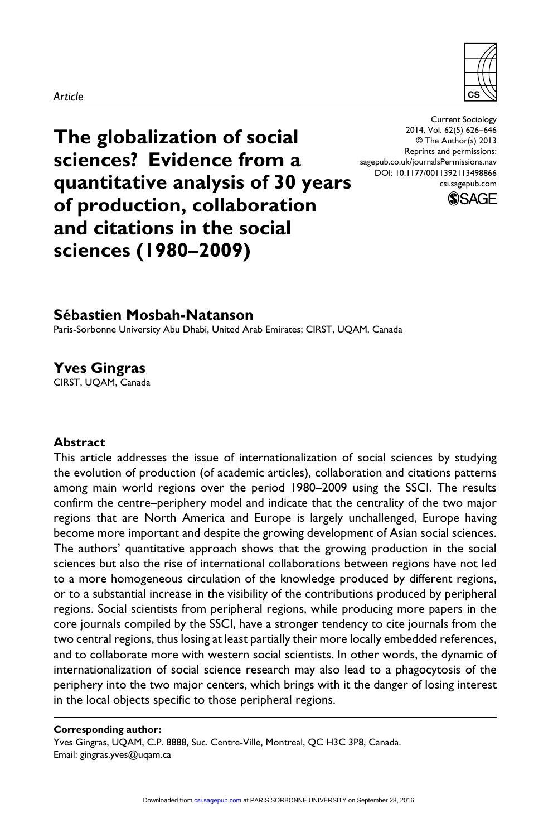### *Article*



**The globalization of social sciences? Evidence from a quantitative analysis of 30 years of production, collaboration and citations in the social sciences (1980–2009)**

Current Sociology 2014, Vol. 62(5) 626–646 © The Author(s) 2013 Reprints and permissions: sagepub.co.uk/journalsPermissions.nav DOI: 10.1177/0011392113498866 csi.sagepub.com



### **Sébastien Mosbah-Natanson**

Paris-Sorbonne University Abu Dhabi, United Arab Emirates; CIRST, UQAM, Canada

# **Yves Gingras**

CIRST, UQAM, Canada

### **Abstract**

This article addresses the issue of internationalization of social sciences by studying the evolution of production (of academic articles), collaboration and citations patterns among main world regions over the period 1980–2009 using the SSCI. The results confirm the centre–periphery model and indicate that the centrality of the two major regions that are North America and Europe is largely unchallenged, Europe having become more important and despite the growing development of Asian social sciences. The authors' quantitative approach shows that the growing production in the social sciences but also the rise of international collaborations between regions have not led to a more homogeneous circulation of the knowledge produced by different regions, or to a substantial increase in the visibility of the contributions produced by peripheral regions. Social scientists from peripheral regions, while producing more papers in the core journals compiled by the SSCI, have a stronger tendency to cite journals from the two central regions, thus losing at least partially their more locally embedded references, and to collaborate more with western social scientists. In other words, the dynamic of internationalization of social science research may also lead to a phagocytosis of the periphery into the two major centers, which brings with it the danger of losing interest in the local objects specific to those peripheral regions.

#### **Corresponding author:**

Yves Gingras, UQAM, C.P. 8888, Suc. Centre-Ville, Montreal, QC H3C 3P8, Canada. Email: gingras.yves@uqam.ca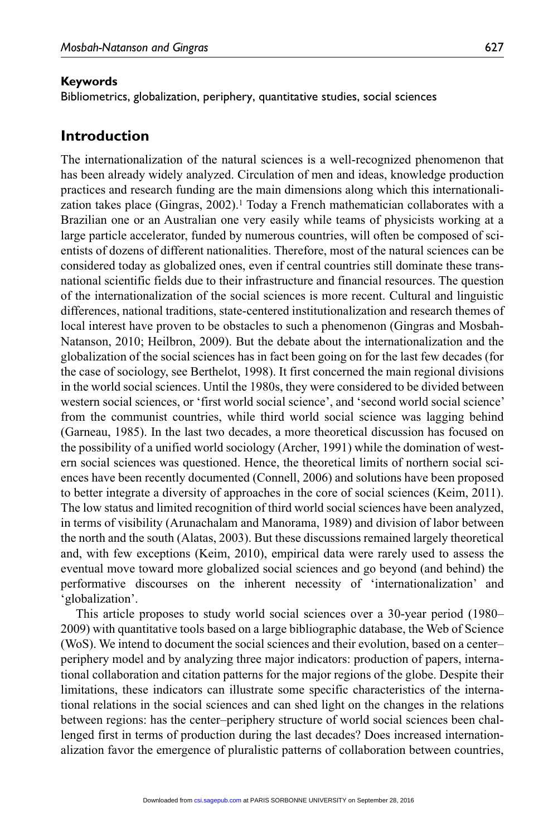### **Keywords**

Bibliometrics, globalization, periphery, quantitative studies, social sciences

# **Introduction**

The internationalization of the natural sciences is a well-recognized phenomenon that has been already widely analyzed. Circulation of men and ideas, knowledge production practices and research funding are the main dimensions along which this internationalization takes place (Gingras, 2002).<sup>1</sup> Today a French mathematician collaborates with a Brazilian one or an Australian one very easily while teams of physicists working at a large particle accelerator, funded by numerous countries, will often be composed of scientists of dozens of different nationalities. Therefore, most of the natural sciences can be considered today as globalized ones, even if central countries still dominate these transnational scientific fields due to their infrastructure and financial resources. The question of the internationalization of the social sciences is more recent. Cultural and linguistic differences, national traditions, state-centered institutionalization and research themes of local interest have proven to be obstacles to such a phenomenon (Gingras and Mosbah-Natanson, 2010; Heilbron, 2009). But the debate about the internationalization and the globalization of the social sciences has in fact been going on for the last few decades (for the case of sociology, see Berthelot, 1998). It first concerned the main regional divisions in the world social sciences. Until the 1980s, they were considered to be divided between western social sciences, or 'first world social science', and 'second world social science' from the communist countries, while third world social science was lagging behind (Garneau, 1985). In the last two decades, a more theoretical discussion has focused on the possibility of a unified world sociology (Archer, 1991) while the domination of western social sciences was questioned. Hence, the theoretical limits of northern social sciences have been recently documented (Connell, 2006) and solutions have been proposed to better integrate a diversity of approaches in the core of social sciences (Keim, 2011). The low status and limited recognition of third world social sciences have been analyzed, in terms of visibility (Arunachalam and Manorama, 1989) and division of labor between the north and the south (Alatas, 2003). But these discussions remained largely theoretical and, with few exceptions (Keim, 2010), empirical data were rarely used to assess the eventual move toward more globalized social sciences and go beyond (and behind) the performative discourses on the inherent necessity of 'internationalization' and 'globalization'.

This article proposes to study world social sciences over a 30-year period (1980– 2009) with quantitative tools based on a large bibliographic database, the Web of Science (WoS). We intend to document the social sciences and their evolution, based on a center– periphery model and by analyzing three major indicators: production of papers, international collaboration and citation patterns for the major regions of the globe. Despite their limitations, these indicators can illustrate some specific characteristics of the international relations in the social sciences and can shed light on the changes in the relations between regions: has the center–periphery structure of world social sciences been challenged first in terms of production during the last decades? Does increased internationalization favor the emergence of pluralistic patterns of collaboration between countries,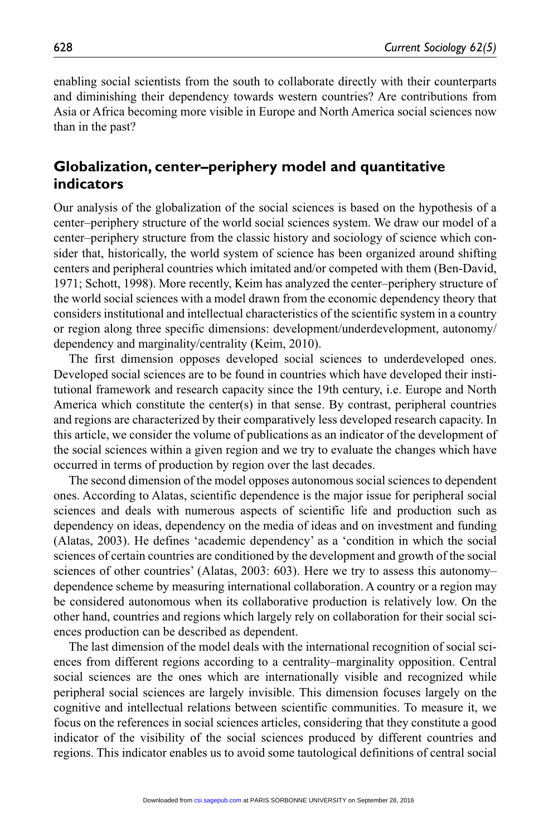enabling social scientists from the south to collaborate directly with their counterparts and diminishing their dependency towards western countries? Are contributions from Asia or Africa becoming more visible in Europe and North America social sciences now than in the past?

# **Globalization, center–periphery model and quantitative indicators**

Our analysis of the globalization of the social sciences is based on the hypothesis of a center–periphery structure of the world social sciences system. We draw our model of a center–periphery structure from the classic history and sociology of science which consider that, historically, the world system of science has been organized around shifting centers and peripheral countries which imitated and/or competed with them (Ben-David, 1971; Schott, 1998). More recently, Keim has analyzed the center–periphery structure of the world social sciences with a model drawn from the economic dependency theory that considers institutional and intellectual characteristics of the scientific system in a country or region along three specific dimensions: development/underdevelopment, autonomy/ dependency and marginality/centrality (Keim, 2010).

The first dimension opposes developed social sciences to underdeveloped ones. Developed social sciences are to be found in countries which have developed their institutional framework and research capacity since the 19th century, i.e. Europe and North America which constitute the center(s) in that sense. By contrast, peripheral countries and regions are characterized by their comparatively less developed research capacity. In this article, we consider the volume of publications as an indicator of the development of the social sciences within a given region and we try to evaluate the changes which have occurred in terms of production by region over the last decades.

The second dimension of the model opposes autonomous social sciences to dependent ones. According to Alatas, scientific dependence is the major issue for peripheral social sciences and deals with numerous aspects of scientific life and production such as dependency on ideas, dependency on the media of ideas and on investment and funding (Alatas, 2003). He defines 'academic dependency' as a 'condition in which the social sciences of certain countries are conditioned by the development and growth of the social sciences of other countries' (Alatas, 2003: 603). Here we try to assess this autonomy– dependence scheme by measuring international collaboration. A country or a region may be considered autonomous when its collaborative production is relatively low. On the other hand, countries and regions which largely rely on collaboration for their social sciences production can be described as dependent.

The last dimension of the model deals with the international recognition of social sciences from different regions according to a centrality–marginality opposition. Central social sciences are the ones which are internationally visible and recognized while peripheral social sciences are largely invisible. This dimension focuses largely on the cognitive and intellectual relations between scientific communities. To measure it, we focus on the references in social sciences articles, considering that they constitute a good indicator of the visibility of the social sciences produced by different countries and regions. This indicator enables us to avoid some tautological definitions of central social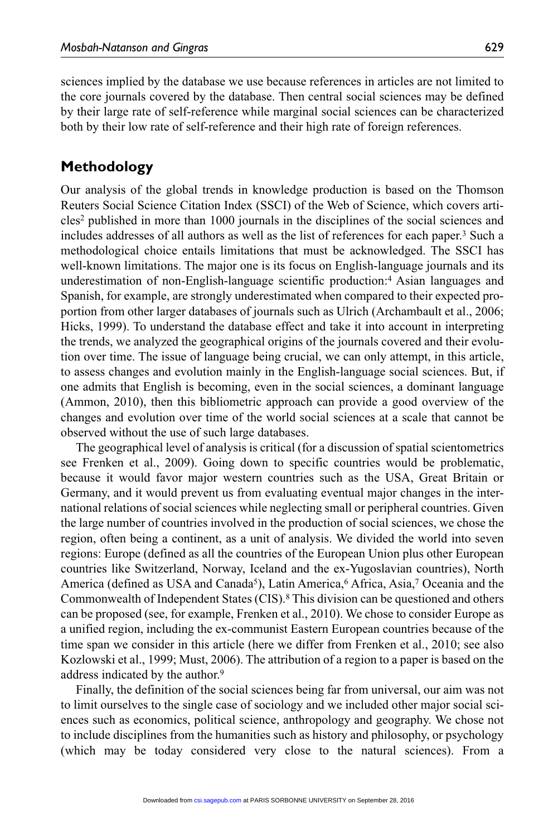sciences implied by the database we use because references in articles are not limited to the core journals covered by the database. Then central social sciences may be defined by their large rate of self-reference while marginal social sciences can be characterized both by their low rate of self-reference and their high rate of foreign references.

# **Methodology**

Our analysis of the global trends in knowledge production is based on the Thomson Reuters Social Science Citation Index (SSCI) of the Web of Science, which covers articles2 published in more than 1000 journals in the disciplines of the social sciences and includes addresses of all authors as well as the list of references for each paper.3 Such a methodological choice entails limitations that must be acknowledged. The SSCI has well-known limitations. The major one is its focus on English-language journals and its underestimation of non-English-language scientific production:4 Asian languages and Spanish, for example, are strongly underestimated when compared to their expected proportion from other larger databases of journals such as Ulrich (Archambault et al., 2006; Hicks, 1999). To understand the database effect and take it into account in interpreting the trends, we analyzed the geographical origins of the journals covered and their evolution over time. The issue of language being crucial, we can only attempt, in this article, to assess changes and evolution mainly in the English-language social sciences. But, if one admits that English is becoming, even in the social sciences, a dominant language (Ammon, 2010), then this bibliometric approach can provide a good overview of the changes and evolution over time of the world social sciences at a scale that cannot be observed without the use of such large databases.

The geographical level of analysis is critical (for a discussion of spatial scientometrics see Frenken et al., 2009). Going down to specific countries would be problematic, because it would favor major western countries such as the USA, Great Britain or Germany, and it would prevent us from evaluating eventual major changes in the international relations of social sciences while neglecting small or peripheral countries. Given the large number of countries involved in the production of social sciences, we chose the region, often being a continent, as a unit of analysis. We divided the world into seven regions: Europe (defined as all the countries of the European Union plus other European countries like Switzerland, Norway, Iceland and the ex-Yugoslavian countries), North America (defined as USA and Canada<sup>5</sup>), Latin America,<sup>6</sup> Africa, Asia,<sup>7</sup> Oceania and the Commonwealth of Independent States (CIS).8 This division can be questioned and others can be proposed (see, for example, Frenken et al., 2010). We chose to consider Europe as a unified region, including the ex-communist Eastern European countries because of the time span we consider in this article (here we differ from Frenken et al., 2010; see also Kozlowski et al., 1999; Must, 2006). The attribution of a region to a paper is based on the address indicated by the author.9

Finally, the definition of the social sciences being far from universal, our aim was not to limit ourselves to the single case of sociology and we included other major social sciences such as economics, political science, anthropology and geography. We chose not to include disciplines from the humanities such as history and philosophy, or psychology (which may be today considered very close to the natural sciences). From a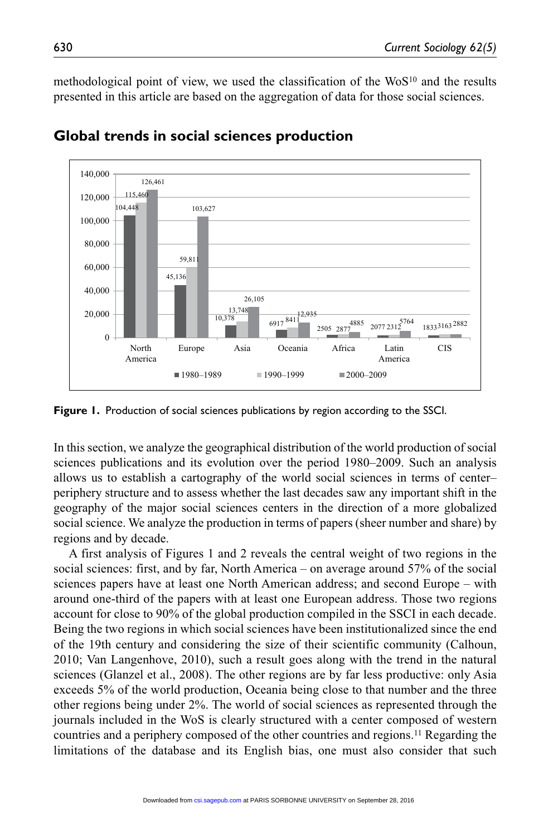methodological point of view, we used the classification of the WoS<sup>10</sup> and the results presented in this article are based on the aggregation of data for those social sciences.



# **Global trends in social sciences production**

**Figure 1.** Production of social sciences publications by region according to the SSCI.

In this section, we analyze the geographical distribution of the world production of social sciences publications and its evolution over the period 1980–2009. Such an analysis allows us to establish a cartography of the world social sciences in terms of center– periphery structure and to assess whether the last decades saw any important shift in the geography of the major social sciences centers in the direction of a more globalized social science. We analyze the production in terms of papers (sheer number and share) by regions and by decade.

A first analysis of Figures 1 and 2 reveals the central weight of two regions in the social sciences: first, and by far, North America – on average around 57% of the social sciences papers have at least one North American address; and second Europe – with around one-third of the papers with at least one European address. Those two regions account for close to 90% of the global production compiled in the SSCI in each decade. Being the two regions in which social sciences have been institutionalized since the end of the 19th century and considering the size of their scientific community (Calhoun, 2010; Van Langenhove, 2010), such a result goes along with the trend in the natural sciences (Glanzel et al., 2008). The other regions are by far less productive: only Asia exceeds 5% of the world production, Oceania being close to that number and the three other regions being under 2%. The world of social sciences as represented through the journals included in the WoS is clearly structured with a center composed of western countries and a periphery composed of the other countries and regions.11 Regarding the limitations of the database and its English bias, one must also consider that such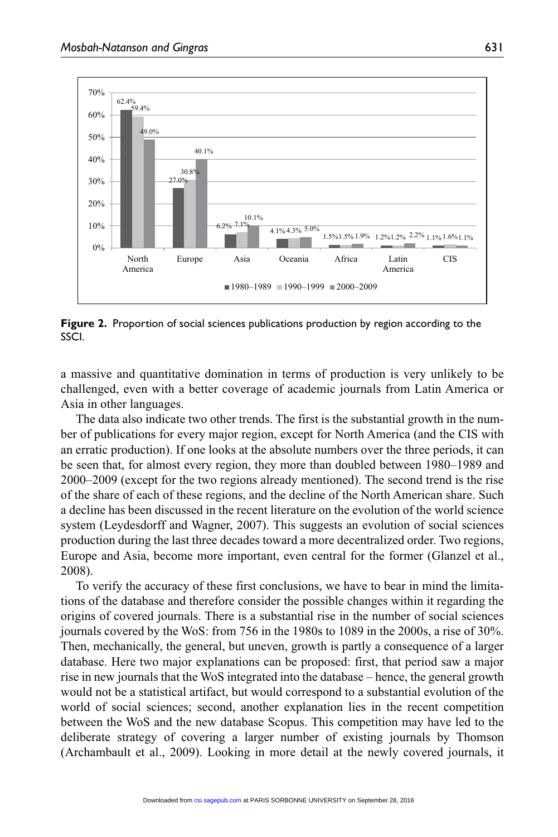

**Figure 2.** Proportion of social sciences publications production by region according to the SSCI.

a massive and quantitative domination in terms of production is very unlikely to be challenged, even with a better coverage of academic journals from Latin America or Asia in other languages.

The data also indicate two other trends. The first is the substantial growth in the number of publications for every major region, except for North America (and the CIS with an erratic production). If one looks at the absolute numbers over the three periods, it can be seen that, for almost every region, they more than doubled between 1980–1989 and 2000–2009 (except for the two regions already mentioned). The second trend is the rise of the share of each of these regions, and the decline of the North American share. Such a decline has been discussed in the recent literature on the evolution of the world science system (Leydesdorff and Wagner, 2007). This suggests an evolution of social sciences production during the last three decades toward a more decentralized order. Two regions, Europe and Asia, become more important, even central for the former (Glanzel et al., 2008).

To verify the accuracy of these first conclusions, we have to bear in mind the limitations of the database and therefore consider the possible changes within it regarding the origins of covered journals. There is a substantial rise in the number of social sciences journals covered by the WoS: from 756 in the 1980s to 1089 in the 2000s, a rise of 30%. Then, mechanically, the general, but uneven, growth is partly a consequence of a larger database. Here two major explanations can be proposed: first, that period saw a major rise in new journals that the WoS integrated into the database – hence, the general growth would not be a statistical artifact, but would correspond to a substantial evolution of the world of social sciences; second, another explanation lies in the recent competition between the WoS and the new database Scopus. This competition may have led to the deliberate strategy of covering a larger number of existing journals by Thomson (Archambault et al., 2009). Looking in more detail at the newly covered journals, it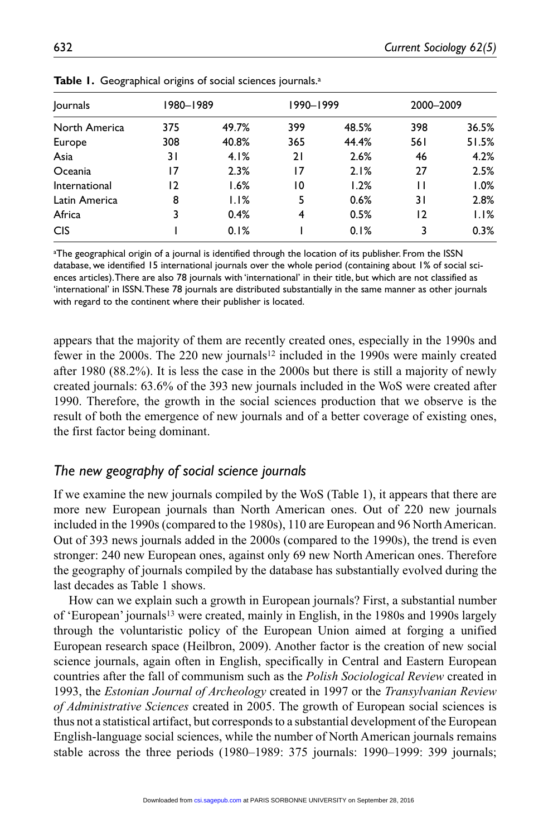| Journals      | 980–1989 |       | 990–1999 |       | 2000-2009 |         |
|---------------|----------|-------|----------|-------|-----------|---------|
| North America | 375      | 49.7% | 399      | 48.5% | 398       | 36.5%   |
| Europe        | 308      | 40.8% | 365      | 44.4% | 561       | 51.5%   |
| Asia          | 31       | 4.1%  | 21       | 2.6%  | 46        | 4.2%    |
| Oceania       | 17       | 2.3%  | 17       | 2.1%  | 27        | 2.5%    |
| International | 12       | 1.6%  | 10       | 1.2%  | Н         | $1.0\%$ |
| Latin America | 8        | 1.1%  | 5        | 0.6%  | 31        | 2.8%    |
| Africa        | 3        | 0.4%  | 4        | 0.5%  | 12        | 1.1%    |
| <b>CIS</b>    |          | 0.1%  |          | 0.1%  | 3         | 0.3%    |

Table 1. Geographical origins of social sciences journals.<sup>a</sup>

a The geographical origin of a journal is identified through the location of its publisher. From the ISSN database, we identified 15 international journals over the whole period (containing about 1% of social sciences articles). There are also 78 journals with 'international' in their title, but which are not classified as 'international' in ISSN. These 78 journals are distributed substantially in the same manner as other journals with regard to the continent where their publisher is located.

appears that the majority of them are recently created ones, especially in the 1990s and fewer in the  $2000s$ . The  $220$  new journals<sup>12</sup> included in the 1990s were mainly created after 1980 (88.2%). It is less the case in the 2000s but there is still a majority of newly created journals: 63.6% of the 393 new journals included in the WoS were created after 1990. Therefore, the growth in the social sciences production that we observe is the result of both the emergence of new journals and of a better coverage of existing ones, the first factor being dominant.

## *The new geography of social science journals*

If we examine the new journals compiled by the WoS (Table 1), it appears that there are more new European journals than North American ones. Out of 220 new journals included in the 1990s (compared to the 1980s), 110 are European and 96 North American. Out of 393 news journals added in the 2000s (compared to the 1990s), the trend is even stronger: 240 new European ones, against only 69 new North American ones. Therefore the geography of journals compiled by the database has substantially evolved during the last decades as Table 1 shows.

How can we explain such a growth in European journals? First, a substantial number of 'European' journals13 were created, mainly in English, in the 1980s and 1990s largely through the voluntaristic policy of the European Union aimed at forging a unified European research space (Heilbron, 2009). Another factor is the creation of new social science journals, again often in English, specifically in Central and Eastern European countries after the fall of communism such as the *Polish Sociological Review* created in 1993, the *Estonian Journal of Archeology* created in 1997 or the *Transylvanian Review of Administrative Sciences* created in 2005. The growth of European social sciences is thus not a statistical artifact, but corresponds to a substantial development of the European English-language social sciences, while the number of North American journals remains stable across the three periods (1980–1989: 375 journals: 1990–1999: 399 journals;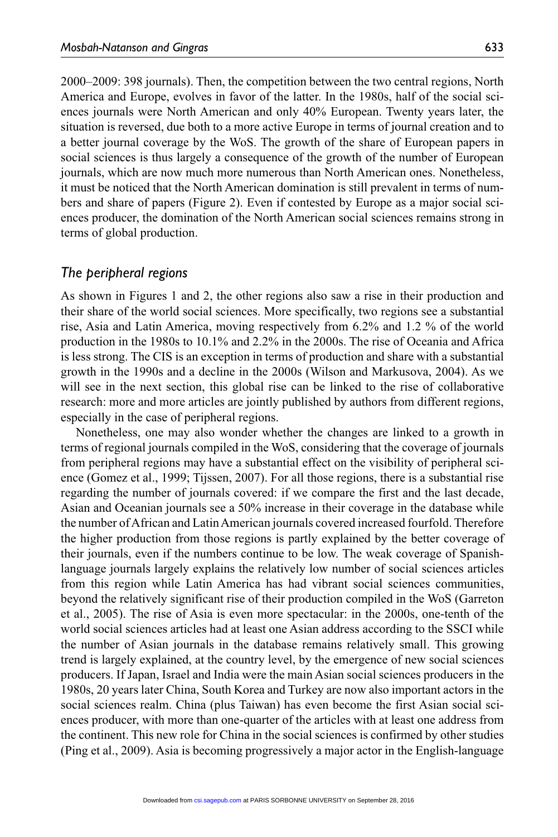2000–2009: 398 journals). Then, the competition between the two central regions, North America and Europe, evolves in favor of the latter. In the 1980s, half of the social sciences journals were North American and only 40% European. Twenty years later, the situation is reversed, due both to a more active Europe in terms of journal creation and to a better journal coverage by the WoS. The growth of the share of European papers in social sciences is thus largely a consequence of the growth of the number of European journals, which are now much more numerous than North American ones. Nonetheless, it must be noticed that the North American domination is still prevalent in terms of numbers and share of papers (Figure 2). Even if contested by Europe as a major social sciences producer, the domination of the North American social sciences remains strong in terms of global production.

### *The peripheral regions*

As shown in Figures 1 and 2, the other regions also saw a rise in their production and their share of the world social sciences. More specifically, two regions see a substantial rise, Asia and Latin America, moving respectively from 6.2% and 1.2 % of the world production in the 1980s to 10.1% and 2.2% in the 2000s. The rise of Oceania and Africa is less strong. The CIS is an exception in terms of production and share with a substantial growth in the 1990s and a decline in the 2000s (Wilson and Markusova, 2004). As we will see in the next section, this global rise can be linked to the rise of collaborative research: more and more articles are jointly published by authors from different regions, especially in the case of peripheral regions.

Nonetheless, one may also wonder whether the changes are linked to a growth in terms of regional journals compiled in the WoS, considering that the coverage of journals from peripheral regions may have a substantial effect on the visibility of peripheral science (Gomez et al., 1999; Tijssen, 2007). For all those regions, there is a substantial rise regarding the number of journals covered: if we compare the first and the last decade, Asian and Oceanian journals see a 50% increase in their coverage in the database while the number of African and Latin American journals covered increased fourfold. Therefore the higher production from those regions is partly explained by the better coverage of their journals, even if the numbers continue to be low. The weak coverage of Spanishlanguage journals largely explains the relatively low number of social sciences articles from this region while Latin America has had vibrant social sciences communities, beyond the relatively significant rise of their production compiled in the WoS (Garreton et al., 2005). The rise of Asia is even more spectacular: in the 2000s, one-tenth of the world social sciences articles had at least one Asian address according to the SSCI while the number of Asian journals in the database remains relatively small. This growing trend is largely explained, at the country level, by the emergence of new social sciences producers. If Japan, Israel and India were the main Asian social sciences producers in the 1980s, 20 years later China, South Korea and Turkey are now also important actors in the social sciences realm. China (plus Taiwan) has even become the first Asian social sciences producer, with more than one-quarter of the articles with at least one address from the continent. This new role for China in the social sciences is confirmed by other studies (Ping et al., 2009). Asia is becoming progressively a major actor in the English-language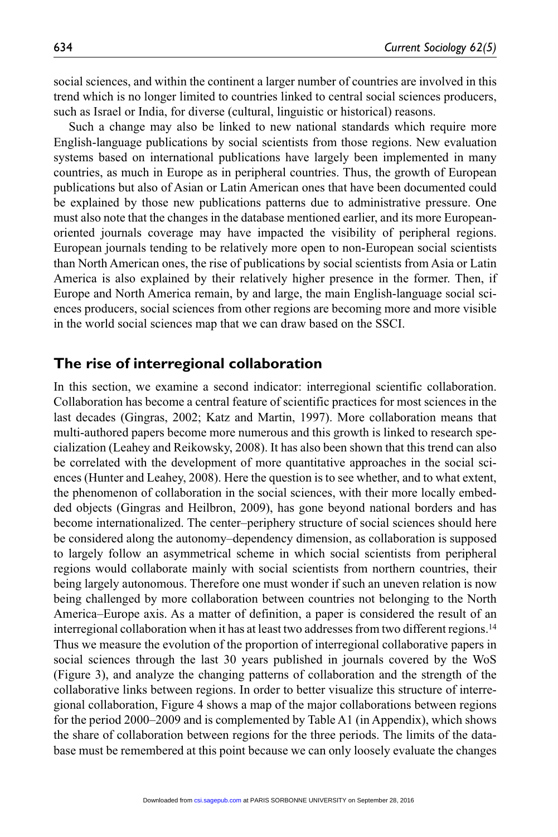social sciences, and within the continent a larger number of countries are involved in this trend which is no longer limited to countries linked to central social sciences producers, such as Israel or India, for diverse (cultural, linguistic or historical) reasons.

Such a change may also be linked to new national standards which require more English-language publications by social scientists from those regions. New evaluation systems based on international publications have largely been implemented in many countries, as much in Europe as in peripheral countries. Thus, the growth of European publications but also of Asian or Latin American ones that have been documented could be explained by those new publications patterns due to administrative pressure. One must also note that the changes in the database mentioned earlier, and its more Europeanoriented journals coverage may have impacted the visibility of peripheral regions. European journals tending to be relatively more open to non-European social scientists than North American ones, the rise of publications by social scientists from Asia or Latin America is also explained by their relatively higher presence in the former. Then, if Europe and North America remain, by and large, the main English-language social sciences producers, social sciences from other regions are becoming more and more visible in the world social sciences map that we can draw based on the SSCI.

### **The rise of interregional collaboration**

In this section, we examine a second indicator: interregional scientific collaboration. Collaboration has become a central feature of scientific practices for most sciences in the last decades (Gingras, 2002; Katz and Martin, 1997). More collaboration means that multi-authored papers become more numerous and this growth is linked to research specialization (Leahey and Reikowsky, 2008). It has also been shown that this trend can also be correlated with the development of more quantitative approaches in the social sciences (Hunter and Leahey, 2008). Here the question is to see whether, and to what extent, the phenomenon of collaboration in the social sciences, with their more locally embedded objects (Gingras and Heilbron, 2009), has gone beyond national borders and has become internationalized. The center–periphery structure of social sciences should here be considered along the autonomy–dependency dimension, as collaboration is supposed to largely follow an asymmetrical scheme in which social scientists from peripheral regions would collaborate mainly with social scientists from northern countries, their being largely autonomous. Therefore one must wonder if such an uneven relation is now being challenged by more collaboration between countries not belonging to the North America–Europe axis. As a matter of definition, a paper is considered the result of an interregional collaboration when it has at least two addresses from two different regions.14 Thus we measure the evolution of the proportion of interregional collaborative papers in social sciences through the last 30 years published in journals covered by the WoS (Figure 3), and analyze the changing patterns of collaboration and the strength of the collaborative links between regions. In order to better visualize this structure of interregional collaboration, Figure 4 shows a map of the major collaborations between regions for the period 2000–2009 and is complemented by Table A1 (in Appendix), which shows the share of collaboration between regions for the three periods. The limits of the database must be remembered at this point because we can only loosely evaluate the changes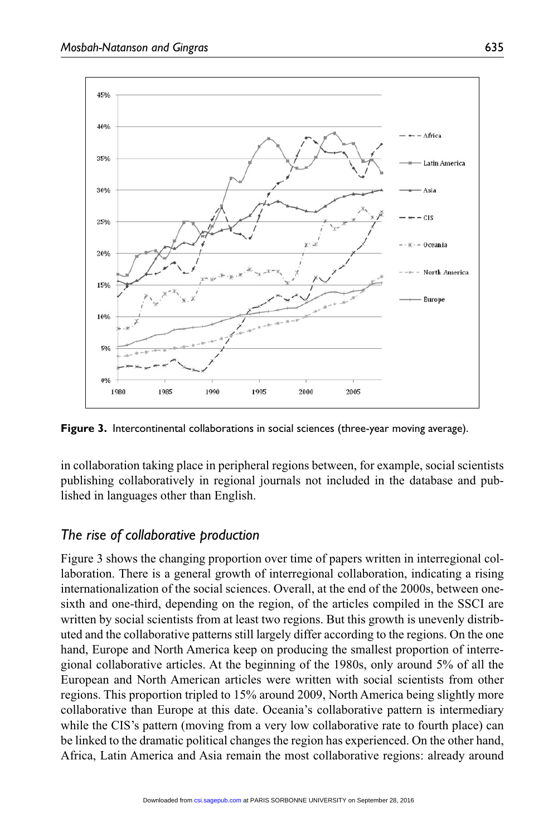

**Figure 3.** Intercontinental collaborations in social sciences (three-year moving average).

in collaboration taking place in peripheral regions between, for example, social scientists publishing collaboratively in regional journals not included in the database and published in languages other than English.

# *The rise of collaborative production*

Figure 3 shows the changing proportion over time of papers written in interregional collaboration. There is a general growth of interregional collaboration, indicating a rising internationalization of the social sciences. Overall, at the end of the 2000s, between onesixth and one-third, depending on the region, of the articles compiled in the SSCI are written by social scientists from at least two regions. But this growth is unevenly distributed and the collaborative patterns still largely differ according to the regions. On the one hand, Europe and North America keep on producing the smallest proportion of interregional collaborative articles. At the beginning of the 1980s, only around 5% of all the European and North American articles were written with social scientists from other regions. This proportion tripled to 15% around 2009, North America being slightly more collaborative than Europe at this date. Oceania's collaborative pattern is intermediary while the CIS's pattern (moving from a very low collaborative rate to fourth place) can be linked to the dramatic political changes the region has experienced. On the other hand, Africa, Latin America and Asia remain the most collaborative regions: already around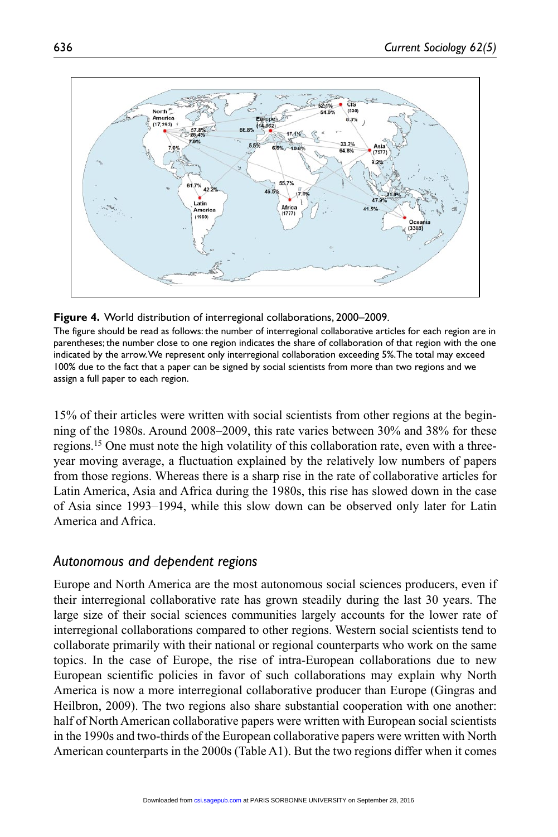



The figure should be read as follows: the number of interregional collaborative articles for each region are in parentheses; the number close to one region indicates the share of collaboration of that region with the one indicated by the arrow. We represent only interregional collaboration exceeding 5%. The total may exceed 100% due to the fact that a paper can be signed by social scientists from more than two regions and we assign a full paper to each region.

15% of their articles were written with social scientists from other regions at the beginning of the 1980s. Around 2008–2009, this rate varies between 30% and 38% for these regions.15 One must note the high volatility of this collaboration rate, even with a threeyear moving average, a fluctuation explained by the relatively low numbers of papers from those regions. Whereas there is a sharp rise in the rate of collaborative articles for Latin America, Asia and Africa during the 1980s, this rise has slowed down in the case of Asia since 1993–1994, while this slow down can be observed only later for Latin America and Africa.

# *Autonomous and dependent regions*

Europe and North America are the most autonomous social sciences producers, even if their interregional collaborative rate has grown steadily during the last 30 years. The large size of their social sciences communities largely accounts for the lower rate of interregional collaborations compared to other regions. Western social scientists tend to collaborate primarily with their national or regional counterparts who work on the same topics. In the case of Europe, the rise of intra-European collaborations due to new European scientific policies in favor of such collaborations may explain why North America is now a more interregional collaborative producer than Europe (Gingras and Heilbron, 2009). The two regions also share substantial cooperation with one another: half of North American collaborative papers were written with European social scientists in the 1990s and two-thirds of the European collaborative papers were written with North American counterparts in the 2000s (Table A1). But the two regions differ when it comes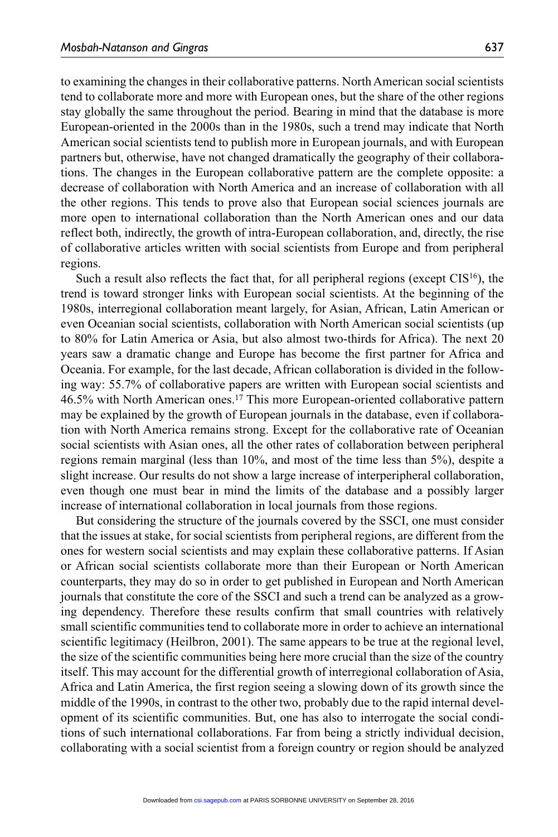to examining the changes in their collaborative patterns. North American social scientists tend to collaborate more and more with European ones, but the share of the other regions stay globally the same throughout the period. Bearing in mind that the database is more European-oriented in the 2000s than in the 1980s, such a trend may indicate that North American social scientists tend to publish more in European journals, and with European partners but, otherwise, have not changed dramatically the geography of their collaborations. The changes in the European collaborative pattern are the complete opposite: a decrease of collaboration with North America and an increase of collaboration with all the other regions. This tends to prove also that European social sciences journals are more open to international collaboration than the North American ones and our data reflect both, indirectly, the growth of intra-European collaboration, and, directly, the rise of collaborative articles written with social scientists from Europe and from peripheral regions.

Such a result also reflects the fact that, for all peripheral regions (except CIS16), the trend is toward stronger links with European social scientists. At the beginning of the 1980s, interregional collaboration meant largely, for Asian, African, Latin American or even Oceanian social scientists, collaboration with North American social scientists (up to 80% for Latin America or Asia, but also almost two-thirds for Africa). The next 20 years saw a dramatic change and Europe has become the first partner for Africa and Oceania. For example, for the last decade, African collaboration is divided in the following way: 55.7% of collaborative papers are written with European social scientists and 46.5% with North American ones.17 This more European-oriented collaborative pattern may be explained by the growth of European journals in the database, even if collaboration with North America remains strong. Except for the collaborative rate of Oceanian social scientists with Asian ones, all the other rates of collaboration between peripheral regions remain marginal (less than 10%, and most of the time less than 5%), despite a slight increase. Our results do not show a large increase of interperipheral collaboration, even though one must bear in mind the limits of the database and a possibly larger increase of international collaboration in local journals from those regions.

But considering the structure of the journals covered by the SSCI, one must consider that the issues at stake, for social scientists from peripheral regions, are different from the ones for western social scientists and may explain these collaborative patterns. If Asian or African social scientists collaborate more than their European or North American counterparts, they may do so in order to get published in European and North American journals that constitute the core of the SSCI and such a trend can be analyzed as a growing dependency. Therefore these results confirm that small countries with relatively small scientific communities tend to collaborate more in order to achieve an international scientific legitimacy (Heilbron, 2001). The same appears to be true at the regional level, the size of the scientific communities being here more crucial than the size of the country itself. This may account for the differential growth of interregional collaboration of Asia, Africa and Latin America, the first region seeing a slowing down of its growth since the middle of the 1990s, in contrast to the other two, probably due to the rapid internal development of its scientific communities. But, one has also to interrogate the social conditions of such international collaborations. Far from being a strictly individual decision, collaborating with a social scientist from a foreign country or region should be analyzed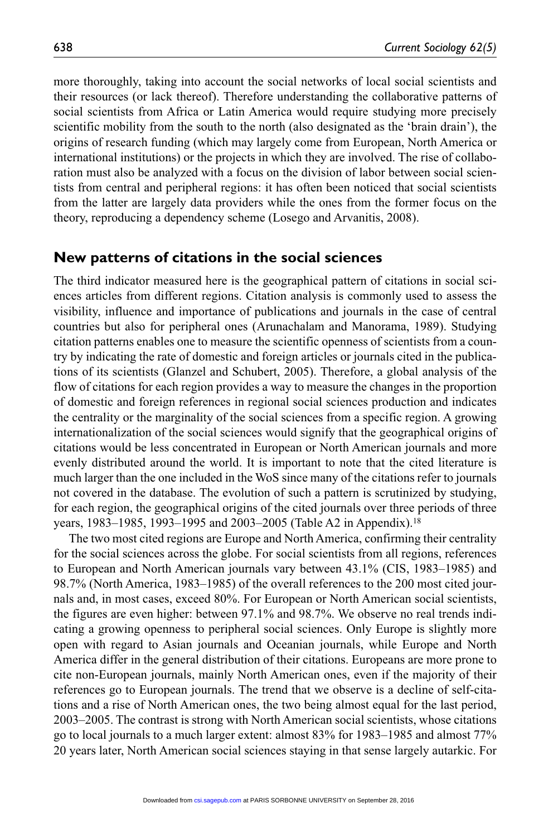more thoroughly, taking into account the social networks of local social scientists and their resources (or lack thereof). Therefore understanding the collaborative patterns of social scientists from Africa or Latin America would require studying more precisely scientific mobility from the south to the north (also designated as the 'brain drain'), the origins of research funding (which may largely come from European, North America or international institutions) or the projects in which they are involved. The rise of collaboration must also be analyzed with a focus on the division of labor between social scientists from central and peripheral regions: it has often been noticed that social scientists from the latter are largely data providers while the ones from the former focus on the theory, reproducing a dependency scheme (Losego and Arvanitis, 2008).

### **New patterns of citations in the social sciences**

The third indicator measured here is the geographical pattern of citations in social sciences articles from different regions. Citation analysis is commonly used to assess the visibility, influence and importance of publications and journals in the case of central countries but also for peripheral ones (Arunachalam and Manorama, 1989). Studying citation patterns enables one to measure the scientific openness of scientists from a country by indicating the rate of domestic and foreign articles or journals cited in the publications of its scientists (Glanzel and Schubert, 2005). Therefore, a global analysis of the flow of citations for each region provides a way to measure the changes in the proportion of domestic and foreign references in regional social sciences production and indicates the centrality or the marginality of the social sciences from a specific region. A growing internationalization of the social sciences would signify that the geographical origins of citations would be less concentrated in European or North American journals and more evenly distributed around the world. It is important to note that the cited literature is much larger than the one included in the WoS since many of the citations refer to journals not covered in the database. The evolution of such a pattern is scrutinized by studying, for each region, the geographical origins of the cited journals over three periods of three years, 1983–1985, 1993–1995 and 2003–2005 (Table A2 in Appendix).18

The two most cited regions are Europe and North America, confirming their centrality for the social sciences across the globe. For social scientists from all regions, references to European and North American journals vary between 43.1% (CIS, 1983–1985) and 98.7% (North America, 1983–1985) of the overall references to the 200 most cited journals and, in most cases, exceed 80%. For European or North American social scientists, the figures are even higher: between 97.1% and 98.7%. We observe no real trends indicating a growing openness to peripheral social sciences. Only Europe is slightly more open with regard to Asian journals and Oceanian journals, while Europe and North America differ in the general distribution of their citations. Europeans are more prone to cite non-European journals, mainly North American ones, even if the majority of their references go to European journals. The trend that we observe is a decline of self-citations and a rise of North American ones, the two being almost equal for the last period, 2003–2005. The contrast is strong with North American social scientists, whose citations go to local journals to a much larger extent: almost 83% for 1983–1985 and almost 77% 20 years later, North American social sciences staying in that sense largely autarkic. For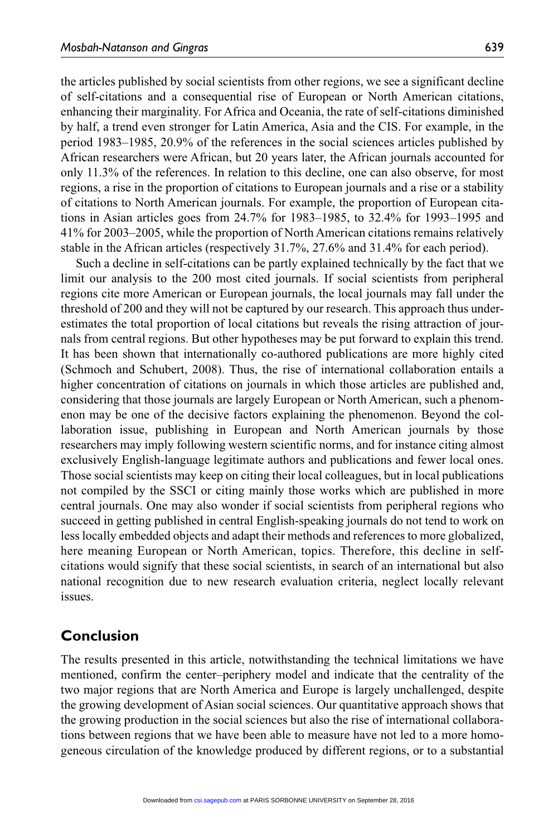the articles published by social scientists from other regions, we see a significant decline of self-citations and a consequential rise of European or North American citations, enhancing their marginality. For Africa and Oceania, the rate of self-citations diminished by half, a trend even stronger for Latin America, Asia and the CIS. For example, in the period 1983–1985, 20.9% of the references in the social sciences articles published by African researchers were African, but 20 years later, the African journals accounted for only 11.3% of the references. In relation to this decline, one can also observe, for most regions, a rise in the proportion of citations to European journals and a rise or a stability of citations to North American journals. For example, the proportion of European citations in Asian articles goes from 24.7% for 1983–1985, to 32.4% for 1993–1995 and 41% for 2003–2005, while the proportion of North American citations remains relatively stable in the African articles (respectively 31.7%, 27.6% and 31.4% for each period).

Such a decline in self-citations can be partly explained technically by the fact that we limit our analysis to the 200 most cited journals. If social scientists from peripheral regions cite more American or European journals, the local journals may fall under the threshold of 200 and they will not be captured by our research. This approach thus underestimates the total proportion of local citations but reveals the rising attraction of journals from central regions. But other hypotheses may be put forward to explain this trend. It has been shown that internationally co-authored publications are more highly cited (Schmoch and Schubert, 2008). Thus, the rise of international collaboration entails a higher concentration of citations on journals in which those articles are published and, considering that those journals are largely European or North American, such a phenomenon may be one of the decisive factors explaining the phenomenon. Beyond the collaboration issue, publishing in European and North American journals by those researchers may imply following western scientific norms, and for instance citing almost exclusively English-language legitimate authors and publications and fewer local ones. Those social scientists may keep on citing their local colleagues, but in local publications not compiled by the SSCI or citing mainly those works which are published in more central journals. One may also wonder if social scientists from peripheral regions who succeed in getting published in central English-speaking journals do not tend to work on less locally embedded objects and adapt their methods and references to more globalized, here meaning European or North American, topics. Therefore, this decline in selfcitations would signify that these social scientists, in search of an international but also national recognition due to new research evaluation criteria, neglect locally relevant issues.

## **Conclusion**

The results presented in this article, notwithstanding the technical limitations we have mentioned, confirm the center–periphery model and indicate that the centrality of the two major regions that are North America and Europe is largely unchallenged, despite the growing development of Asian social sciences. Our quantitative approach shows that the growing production in the social sciences but also the rise of international collaborations between regions that we have been able to measure have not led to a more homogeneous circulation of the knowledge produced by different regions, or to a substantial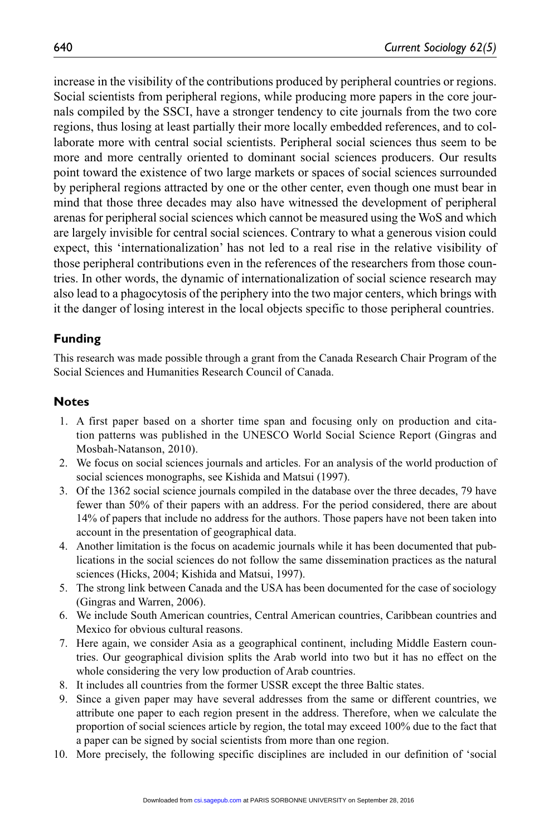increase in the visibility of the contributions produced by peripheral countries or regions. Social scientists from peripheral regions, while producing more papers in the core journals compiled by the SSCI, have a stronger tendency to cite journals from the two core regions, thus losing at least partially their more locally embedded references, and to collaborate more with central social scientists. Peripheral social sciences thus seem to be more and more centrally oriented to dominant social sciences producers. Our results point toward the existence of two large markets or spaces of social sciences surrounded by peripheral regions attracted by one or the other center, even though one must bear in mind that those three decades may also have witnessed the development of peripheral arenas for peripheral social sciences which cannot be measured using the WoS and which are largely invisible for central social sciences. Contrary to what a generous vision could expect, this 'internationalization' has not led to a real rise in the relative visibility of those peripheral contributions even in the references of the researchers from those countries. In other words, the dynamic of internationalization of social science research may also lead to a phagocytosis of the periphery into the two major centers, which brings with it the danger of losing interest in the local objects specific to those peripheral countries.

### **Funding**

This research was made possible through a grant from the Canada Research Chair Program of the Social Sciences and Humanities Research Council of Canada.

#### **Notes**

- 1. A first paper based on a shorter time span and focusing only on production and citation patterns was published in the UNESCO World Social Science Report (Gingras and Mosbah-Natanson, 2010).
- 2. We focus on social sciences journals and articles. For an analysis of the world production of social sciences monographs, see Kishida and Matsui (1997).
- 3. Of the 1362 social science journals compiled in the database over the three decades, 79 have fewer than 50% of their papers with an address. For the period considered, there are about 14% of papers that include no address for the authors. Those papers have not been taken into account in the presentation of geographical data.
- 4. Another limitation is the focus on academic journals while it has been documented that publications in the social sciences do not follow the same dissemination practices as the natural sciences (Hicks, 2004; Kishida and Matsui, 1997).
- 5. The strong link between Canada and the USA has been documented for the case of sociology (Gingras and Warren, 2006).
- 6. We include South American countries, Central American countries, Caribbean countries and Mexico for obvious cultural reasons.
- 7. Here again, we consider Asia as a geographical continent, including Middle Eastern countries. Our geographical division splits the Arab world into two but it has no effect on the whole considering the very low production of Arab countries.
- 8. It includes all countries from the former USSR except the three Baltic states.
- 9. Since a given paper may have several addresses from the same or different countries, we attribute one paper to each region present in the address. Therefore, when we calculate the proportion of social sciences article by region, the total may exceed 100% due to the fact that a paper can be signed by social scientists from more than one region.
- 10. More precisely, the following specific disciplines are included in our definition of 'social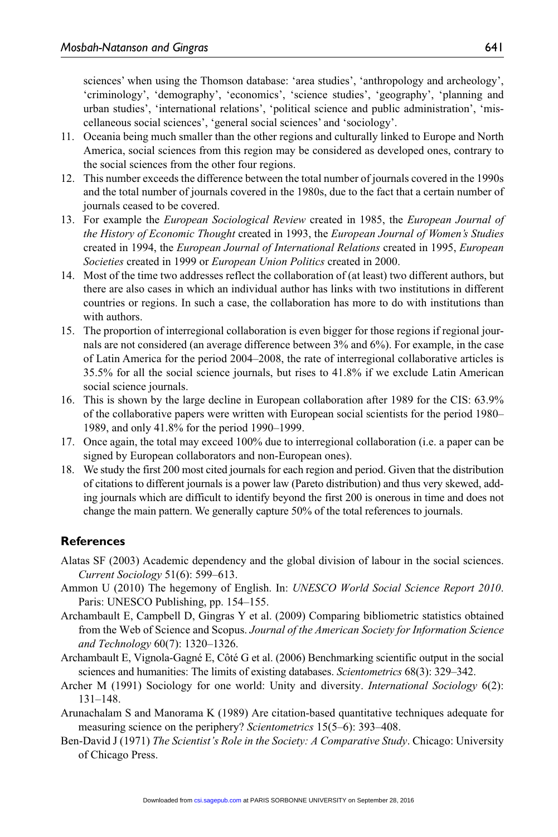sciences' when using the Thomson database: 'area studies', 'anthropology and archeology', 'criminology', 'demography', 'economics', 'science studies', 'geography', 'planning and urban studies', 'international relations', 'political science and public administration', 'miscellaneous social sciences', 'general social sciences' and 'sociology'.

- 11. Oceania being much smaller than the other regions and culturally linked to Europe and North America, social sciences from this region may be considered as developed ones, contrary to the social sciences from the other four regions.
- 12. This number exceeds the difference between the total number of journals covered in the 1990s and the total number of journals covered in the 1980s, due to the fact that a certain number of journals ceased to be covered.
- 13. For example the *European Sociological Review* created in 1985, the *European Journal of the History of Economic Thought* created in 1993, the *European Journal of Women's Studies* created in 1994, the *European Journal of International Relations* created in 1995, *European Societies* created in 1999 or *European Union Politics* created in 2000.
- 14. Most of the time two addresses reflect the collaboration of (at least) two different authors, but there are also cases in which an individual author has links with two institutions in different countries or regions. In such a case, the collaboration has more to do with institutions than with authors.
- 15. The proportion of interregional collaboration is even bigger for those regions if regional journals are not considered (an average difference between 3% and 6%). For example, in the case of Latin America for the period 2004–2008, the rate of interregional collaborative articles is 35.5% for all the social science journals, but rises to 41.8% if we exclude Latin American social science journals.
- 16. This is shown by the large decline in European collaboration after 1989 for the CIS: 63.9% of the collaborative papers were written with European social scientists for the period 1980– 1989, and only 41.8% for the period 1990–1999.
- 17. Once again, the total may exceed 100% due to interregional collaboration (i.e. a paper can be signed by European collaborators and non-European ones).
- 18. We study the first 200 most cited journals for each region and period. Given that the distribution of citations to different journals is a power law (Pareto distribution) and thus very skewed, adding journals which are difficult to identify beyond the first 200 is onerous in time and does not change the main pattern. We generally capture 50% of the total references to journals.

## **References**

- Alatas SF (2003) Academic dependency and the global division of labour in the social sciences. *Current Sociology* 51(6): 599–613.
- Ammon U (2010) The hegemony of English. In: *UNESCO World Social Science Report 2010*. Paris: UNESCO Publishing, pp. 154–155.
- Archambault E, Campbell D, Gingras Y et al. (2009) Comparing bibliometric statistics obtained from the Web of Science and Scopus. *Journal of the American Society for Information Science and Technology* 60(7): 1320–1326.
- Archambault E, Vignola-Gagné E, Côté G et al. (2006) Benchmarking scientific output in the social sciences and humanities: The limits of existing databases. *Scientometrics* 68(3): 329–342.
- Archer M (1991) Sociology for one world: Unity and diversity. *International Sociology* 6(2): 131–148.
- Arunachalam S and Manorama K (1989) Are citation-based quantitative techniques adequate for measuring science on the periphery? *Scientometrics* 15(5–6): 393–408.
- Ben-David J (1971) *The Scientist's Role in the Society: A Comparative Study*. Chicago: University of Chicago Press.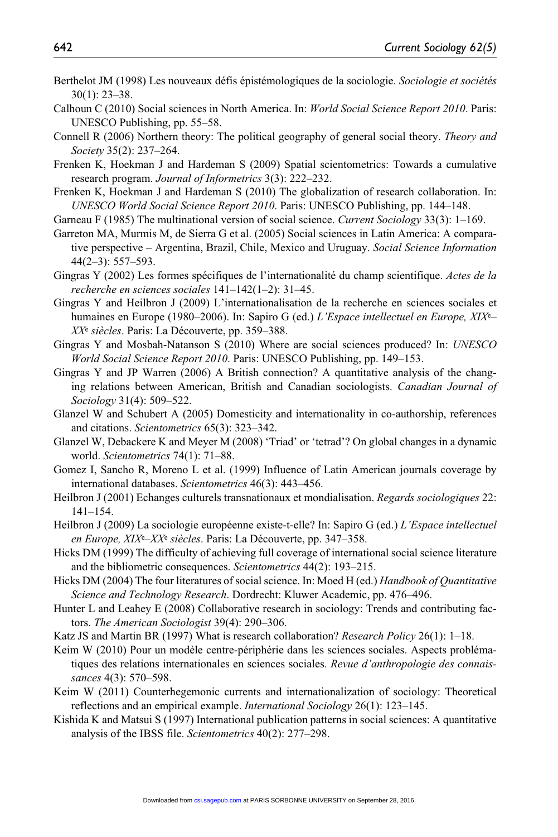- Berthelot JM (1998) Les nouveaux défis épistémologiques de la sociologie. *Sociologie et sociétés* 30(1): 23–38.
- Calhoun C (2010) Social sciences in North America. In: *World Social Science Report 2010*. Paris: UNESCO Publishing, pp. 55–58.
- Connell R (2006) Northern theory: The political geography of general social theory. *Theory and Society* 35(2): 237–264.
- Frenken K, Hoekman J and Hardeman S (2009) Spatial scientometrics: Towards a cumulative research program. *Journal of Informetrics* 3(3): 222–232.
- Frenken K, Hoekman J and Hardeman S (2010) The globalization of research collaboration. In: *UNESCO World Social Science Report 2010*. Paris: UNESCO Publishing, pp. 144–148.
- Garneau F (1985) The multinational version of social science. *Current Sociology* 33(3): 1–169.
- Garreton MA, Murmis M, de Sierra G et al. (2005) Social sciences in Latin America: A comparative perspective – Argentina, Brazil, Chile, Mexico and Uruguay. *Social Science Information* 44(2–3): 557–593.
- Gingras Y (2002) Les formes spécifiques de l'internationalité du champ scientifique. *Actes de la recherche en sciences sociales* 141–142(1–2): 31–45.
- Gingras Y and Heilbron J (2009) L'internationalisation de la recherche en sciences sociales et humaines en Europe (1980–2006). In: Sapiro G (ed.) *L'Espace intellectuel en Europe, XIX*e*– XX*e *siècles*. Paris: La Découverte, pp. 359–388.
- Gingras Y and Mosbah-Natanson S (2010) Where are social sciences produced? In: *UNESCO World Social Science Report 2010*. Paris: UNESCO Publishing, pp. 149–153.
- Gingras Y and JP Warren (2006) A British connection? A quantitative analysis of the changing relations between American, British and Canadian sociologists. *Canadian Journal of Sociology* 31(4): 509–522.
- Glanzel W and Schubert A (2005) Domesticity and internationality in co-authorship, references and citations. *Scientometrics* 65(3): 323–342.
- Glanzel W, Debackere K and Meyer M (2008) 'Triad' or 'tetrad'? On global changes in a dynamic world. *Scientometrics* 74(1): 71–88.
- Gomez I, Sancho R, Moreno L et al. (1999) Influence of Latin American journals coverage by international databases. *Scientometrics* 46(3): 443–456.
- Heilbron J (2001) Echanges culturels transnationaux et mondialisation. *Regards sociologiques* 22: 141–154.
- Heilbron J (2009) La sociologie européenne existe-t-elle? In: Sapiro G (ed.) *L'Espace intellectuel en Europe, XIX*e*–XX*e *siècles*. Paris: La Découverte, pp. 347–358.
- Hicks DM (1999) The difficulty of achieving full coverage of international social science literature and the bibliometric consequences. *Scientometrics* 44(2): 193–215.
- Hicks DM (2004) The four literatures of social science. In: Moed H (ed.) *Handbook of Quantitative Science and Technology Research*. Dordrecht: Kluwer Academic, pp. 476–496.
- Hunter L and Leahey E (2008) Collaborative research in sociology: Trends and contributing factors. *The American Sociologist* 39(4): 290–306.
- Katz JS and Martin BR (1997) What is research collaboration? *Research Policy* 26(1): 1–18.
- Keim W (2010) Pour un modèle centre-périphérie dans les sciences sociales. Aspects problématiques des relations internationales en sciences sociales. *Revue d'anthropologie des connaissances* 4(3): 570–598.
- Keim W (2011) Counterhegemonic currents and internationalization of sociology: Theoretical reflections and an empirical example. *International Sociology* 26(1): 123–145.
- Kishida K and Matsui S (1997) International publication patterns in social sciences: A quantitative analysis of the IBSS file. *Scientometrics* 40(2): 277–298.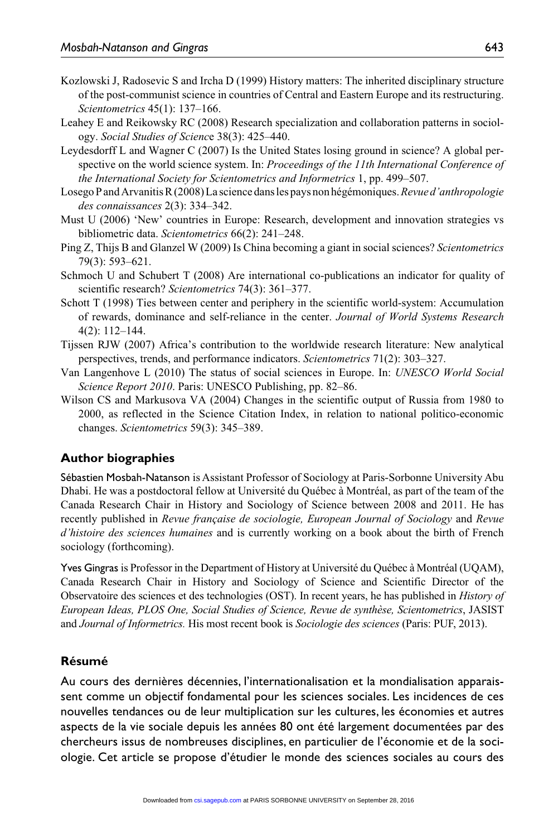- Kozlowski J, Radosevic S and Ircha D (1999) History matters: The inherited disciplinary structure of the post-communist science in countries of Central and Eastern Europe and its restructuring. *Scientometrics* 45(1): 137–166.
- Leahey E and Reikowsky RC (2008) Research specialization and collaboration patterns in sociology. *Social Studies of Scienc*e 38(3): 425–440.
- Leydesdorff L and Wagner C (2007) Is the United States losing ground in science? A global perspective on the world science system. In: *Proceedings of the 11th International Conference of the International Society for Scientometrics and Informetrics* 1, pp. 499–507.
- Losego P and Arvanitis R (2008) La science dans les pays non hégémoniques. *Revue d'anthropologie des connaissances* 2(3): 334–342.
- Must U (2006) 'New' countries in Europe: Research, development and innovation strategies vs bibliometric data. *Scientometrics* 66(2): 241–248.
- Ping Z, Thijs B and Glanzel W (2009) Is China becoming a giant in social sciences? *Scientometrics* 79(3): 593–621.
- Schmoch U and Schubert T (2008) Are international co-publications an indicator for quality of scientific research? *Scientometrics* 74(3): 361–377.
- Schott T (1998) Ties between center and periphery in the scientific world-system: Accumulation of rewards, dominance and self-reliance in the center. *Journal of World Systems Research* 4(2): 112–144.
- Tijssen RJW (2007) Africa's contribution to the worldwide research literature: New analytical perspectives, trends, and performance indicators. *Scientometrics* 71(2): 303–327.
- Van Langenhove L (2010) The status of social sciences in Europe. In: *UNESCO World Social Science Report 2010*. Paris: UNESCO Publishing, pp. 82–86.
- Wilson CS and Markusova VA (2004) Changes in the scientific output of Russia from 1980 to 2000, as reflected in the Science Citation Index, in relation to national politico-economic changes. *Scientometrics* 59(3): 345–389.

### **Author biographies**

Sébastien Mosbah-Natanson is Assistant Professor of Sociology at Paris-Sorbonne University Abu Dhabi. He was a postdoctoral fellow at Université du Québec à Montréal, as part of the team of the Canada Research Chair in History and Sociology of Science between 2008 and 2011. He has recently published in *Revue française de sociologie, European Journal of Sociology* and *Revue d'histoire des sciences humaines* and is currently working on a book about the birth of French sociology (forthcoming).

Yves Gingras is Professor in the Department of History at Université du Québec à Montréal (UQAM), Canada Research Chair in History and Sociology of Science and Scientific Director of the Observatoire des sciences et des technologies (OST). In recent years, he has published in *History of European Ideas, PLOS One, Social Studies of Science, Revue de synthèse, Scientometrics*, JASIST and *Journal of Informetrics.* His most recent book is *Sociologie des sciences* (Paris: PUF, 2013).

### **Résumé**

Au cours des dernières décennies, l'internationalisation et la mondialisation apparaissent comme un objectif fondamental pour les sciences sociales. Les incidences de ces nouvelles tendances ou de leur multiplication sur les cultures, les économies et autres aspects de la vie sociale depuis les années 80 ont été largement documentées par des chercheurs issus de nombreuses disciplines, en particulier de l'économie et de la sociologie. Cet article se propose d'étudier le monde des sciences sociales au cours des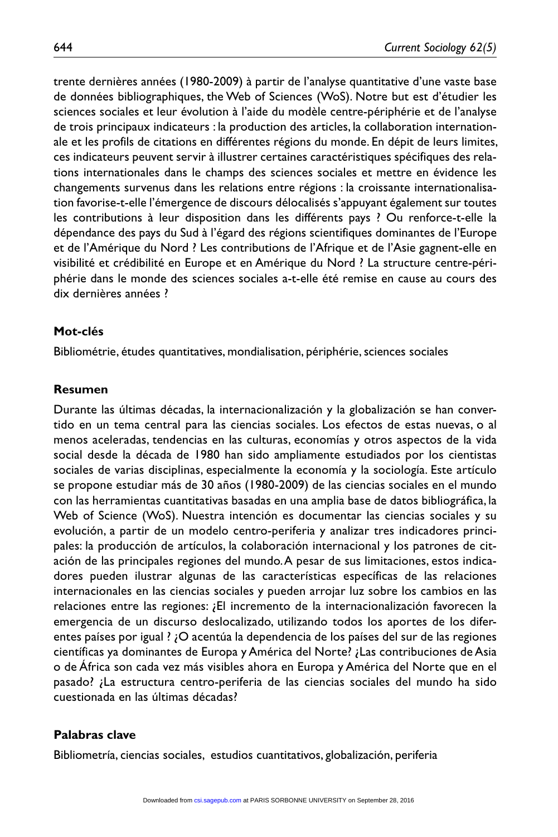trente dernières années (1980-2009) à partir de l'analyse quantitative d'une vaste base de données bibliographiques, the Web of Sciences (WoS). Notre but est d'étudier les sciences sociales et leur évolution à l'aide du modèle centre-périphérie et de l'analyse de trois principaux indicateurs : la production des articles, la collaboration internationale et les profils de citations en différentes régions du monde. En dépit de leurs limites, ces indicateurs peuvent servir à illustrer certaines caractéristiques spécifiques des relations internationales dans le champs des sciences sociales et mettre en évidence les changements survenus dans les relations entre régions : la croissante internationalisation favorise-t-elle l'émergence de discours délocalisés s'appuyant également sur toutes les contributions à leur disposition dans les différents pays ? Ou renforce-t-elle la dépendance des pays du Sud à l'égard des régions scientifiques dominantes de l'Europe et de l'Amérique du Nord ? Les contributions de l'Afrique et de l'Asie gagnent-elle en visibilité et crédibilité en Europe et en Amérique du Nord ? La structure centre-périphérie dans le monde des sciences sociales a-t-elle été remise en cause au cours des dix dernières années ?

### **Mot-clés**

Bibliométrie, études quantitatives, mondialisation, périphérie, sciences sociales

#### **Resumen**

Durante las últimas décadas, la internacionalización y la globalización se han convertido en un tema central para las ciencias sociales. Los efectos de estas nuevas, o al menos aceleradas, tendencias en las culturas, economías y otros aspectos de la vida social desde la década de 1980 han sido ampliamente estudiados por los cientistas sociales de varias disciplinas, especialmente la economía y la sociología. Este artículo se propone estudiar más de 30 años (1980-2009) de las ciencias sociales en el mundo con las herramientas cuantitativas basadas en una amplia base de datos bibliográfica, la Web of Science (WoS). Nuestra intención es documentar las ciencias sociales y su evolución, a partir de un modelo centro-periferia y analizar tres indicadores principales: la producción de artículos, la colaboración internacional y los patrones de citación de las principales regiones del mundo. A pesar de sus limitaciones, estos indicadores pueden ilustrar algunas de las características específicas de las relaciones internacionales en las ciencias sociales y pueden arrojar luz sobre los cambios en las relaciones entre las regiones: ¿El incremento de la internacionalización favorecen la emergencia de un discurso deslocalizado, utilizando todos los aportes de los diferentes países por igual ? ¿O acentúa la dependencia de los países del sur de las regiones científicas ya dominantes de Europa y América del Norte? ¿Las contribuciones de Asia o de África son cada vez más visibles ahora en Europa y América del Norte que en el pasado? ¿La estructura centro-periferia de las ciencias sociales del mundo ha sido cuestionada en las últimas décadas?

### **Palabras clave**

Bibliometría, ciencias sociales, estudios cuantitativos, globalización, periferia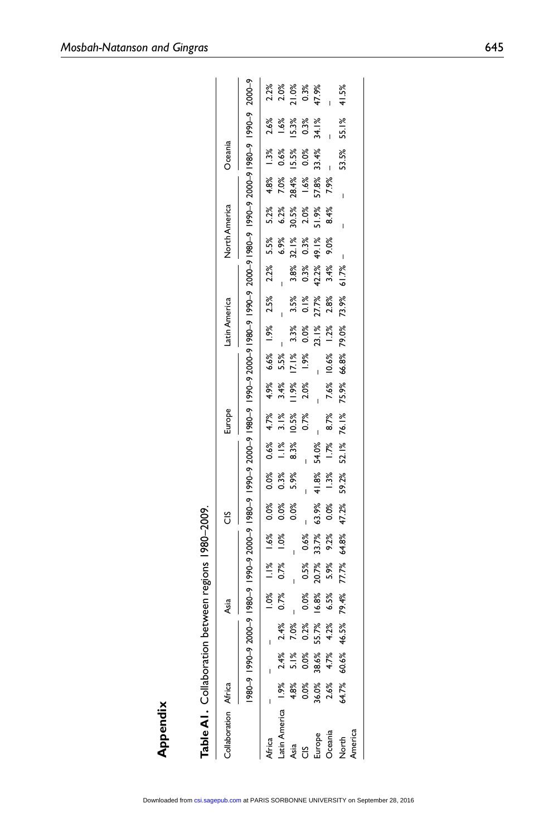| Appendix                                                                    |             |                                |       |       |       |       |                                                                                                                        |       |       |        |       |       |               |       |               |               |       |       |         |       |                                   |
|-----------------------------------------------------------------------------|-------------|--------------------------------|-------|-------|-------|-------|------------------------------------------------------------------------------------------------------------------------|-------|-------|--------|-------|-------|---------------|-------|---------------|---------------|-------|-------|---------|-------|-----------------------------------|
| Table A1. Collaboration between regions 1980-2009.                          |             |                                |       |       |       |       |                                                                                                                        |       |       |        |       |       |               |       |               |               |       |       |         |       |                                   |
| Collaboration Africa                                                        |             |                                |       | Asia  |       |       | ő                                                                                                                      |       |       | Europe |       |       | Latin America |       |               | North America |       |       | Oceania |       |                                   |
|                                                                             |             | 6-0661 6-0861                  |       |       |       |       | 6-0002 6-0661 6-0861 6-0002 6-0661 6-0861 6-0002 6-0661 6-0861 6-0002 6-0661 6-0002 6-0661 6-0861 6-0002 6-0661 6-0002 |       |       |        |       |       |               |       |               |               |       |       |         |       |                                   |
| Africa                                                                      |             |                                |       | 1.0%  | 1.1%  | 1.6%  | 0.0%                                                                                                                   | 0.0%  | 0.6%  | 4.7%   | 4.9%  | 6.6%  | 1.9%          | 2.5%  | 2.2%          | 5.5%          | 5.2%  | 4.8%  | 1.3%    | 2.6%  |                                   |
|                                                                             |             |                                | 2.4%  | 0.7%  | 0.7%  | 1.0%  | 0.0%                                                                                                                   | 0.3%  | 1.1%  | 3.1%   | 3.4%  | 5.5%  |               |       |               | 6.9%          | 6.2%  | 7.0%  | 0.6%    | 1.6%  |                                   |
|                                                                             |             |                                | 7.0%  |       |       |       | 0.0%                                                                                                                   | 5.9%  | 8.3%  | 10.5%  | 11.9% | 17.1% | 3.3%          | 3.5%  | 3.8%          | 32.1%         | 30.5% | 28.4% | 15.5%   | 15.3% | 2.2%<br>2.0%<br>2.1 0.3%<br>47.9% |
|                                                                             |             |                                | 0.2%  | 0.0%  | 0.5%  | 0.6%  |                                                                                                                        |       |       | 0.7%   | 2.0%  | 1.9%  | 0.0%          | 0.1%  | 0.3%          | 0.3%          | 2.0%  | 1.6%  | 0.0%    | 0.3%  |                                   |
|                                                                             |             | 24%<br>50% % %<br>74% 00% 4.7% | 55.7% | 16.8% | 20.7% | 33.7% | 63.9%                                                                                                                  | 41.8% | 54.0% |        |       |       | 23.1%         | 27.7% | 42.2%<br>3.4% | 49.1%         | 51.9% | 57.8% | 33.4%   | 34.1% |                                   |
| Latin America 1.9%<br>Asia 4.8%<br>CIS 0.0%<br>Europe 36.0%<br>Oceania 2.6% |             |                                | 4.2%  | 6.5%  | 5.9%  | 9.2%  | 0.0%                                                                                                                   | 1.3%  | 1.7%  | 8.7%   | 7.6%  | 10.6% | 1.2%          | 2.8%  |               | 9.0%          | 8.4%  | 7.9%  |         |       |                                   |
| North<br>America                                                            | <b>A.7%</b> | 60.6%                          | 46.5% | 79.4% | 77.7% | 64.8% | 47.2%                                                                                                                  | 59.2% | 52.1% | 76.1%  | 75.9% | 66.8% | 79.0%         | 73.9% | 61.7%         |               |       |       | 53.5%   | 55.1% | 41.5%                             |
|                                                                             |             |                                |       |       |       |       |                                                                                                                        |       |       |        |       |       |               |       |               |               |       |       |         |       |                                   |
|                                                                             |             |                                |       |       |       |       |                                                                                                                        |       |       |        |       |       |               |       |               |               |       |       |         |       |                                   |